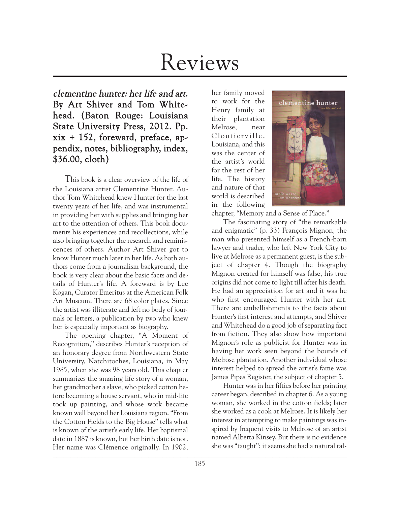# Reviews

clementine hunter: her life and art. By Art Shiver and Tom Whitehead. (Baton Rouge: Louisiana State University Press, 2012. Pp. xix + 152, foreward, preface, appendix, notes, bibliography, index, \$36.00, cloth)

This book is a clear overview of the life of the Louisiana artist Clementine Hunter. Author Tom Whitehead knew Hunter for the last twenty years of her life, and was instrumental in providing her with supplies and bringing her art to the attention of others. This book documents his experiences and recollections, while also bringing together the research and reminiscences of others. Author Art Shiver got to know Hunter much later in her life. As both authors come from a journalism background, the book is very clear about the basic facts and details of Hunter's life. A foreward is by Lee Kogan, Curator Emeritus at the American Folk Art Museum. There are 68 color plates. Since the artist was illiterate and left no body of journals or letters, a publication by two who knew her is especially important as biography.

 $\Box$ The opening chapter, "A Moment of Recognition," describes Hunter's reception of an honorary degree from Northwestern State University, Natchitoches, Louisiana, in May 1985, when she was 98 years old. This chapter summarizes the amazing life story of a woman, her grandmother a slave, who picked cotton before becoming a house servant, who in mid-life took up painting, and whose work became known well beyond her Louisiana region. "From the Cotton Fields to the Big House" tells what is known of the artist's early life. Her baptismal date in 1887 is known, but her birth date is not. Her name was Clémence originally. In 1902,

her family moved to work for the Henry family at their plantation Melrose, near Cloutierville, Louisiana, and this was the center of the artist's world for the rest of her life. The history and nature of that world is described in the following



chapter, "Memory and a Sense of Place."

The fascinating story of "the remarkable and enigmatic" (p. 33) François Mignon, the man who presented himself as a French-born lawyer and trader, who left New York City to live at Melrose as a permanent guest, is the subject of chapter 4. Though the biography Mignon created for himself was false, his true origins did not come to light till after his death. He had an appreciation for art and it was he who first encouraged Hunter with her art. There are embellishments to the facts about Hunter's first interest and attempts, and Shiver and Whitehead do a good job of separating fact from fiction. They also show how important Mignon's role as publicist for Hunter was in having her work seen beyond the bounds of Melrose plantation. Another individual whose interest helped to spread the artist's fame was James Pipes Register, the subject of chapter 5.

Hunter was in her fifties before her painting career began, described in chapter 6. As a young woman, she worked in the cotton fields; later she worked as a cook at Melrose. It is likely her interest in attempting to make paintings was inspired by frequent visits to Melrose of an artist named Alberta Kinsey. But there is no evidence she was "taught"; it seems she had a natural tal-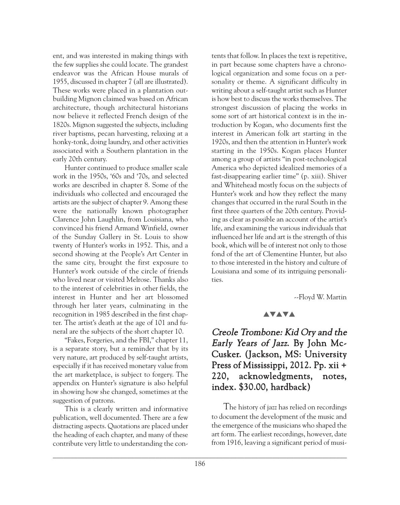ent, and was interested in making things with the few supplies she could locate. The grandest endeavor was the African House murals of 1955, discussed in chapter 7 (all are illustrated). These works were placed in a plantation outbuilding Mignon claimed was based on African architecture, though architectural historians now believe it reflected French design of the 1820s. Mignon suggested the subjects, including river baptisms, pecan harvesting, relaxing at a honky-tonk, doing laundry, and other activities associated with a Southern plantation in the early 20th century.

Hunter continued to produce smaller scale work in the 1950s, '60s and '70s, and selected works are described in chapter 8. Some of the individuals who collected and encouraged the artists are the subject of chapter 9. Among these were the nationally known photographer Clarence John Laughlin, from Louisiana, who convinced his friend Armand Winfield, owner of the Sunday Gallery in St. Louis to show twenty of Hunter's works in 1952. This, and a second showing at the People's Art Center in the same city, brought the first exposure to Hunter's work outside of the circle of friends who lived near or visited Melrose. Thanks also to the interest of celebrities in other fields, the interest in Hunter and her art blossomed through her later years, culminating in the recognition in 1985 described in the first chapter. The artist's death at the age of 101 and funeral are the subjects of the short chapter 10.

"Fakes, Forgeries, and the FBI," chapter 11, is a separate story, but a reminder that by its very nature, art produced by self-taught artists, especially if it has received monetary value from the art marketplace, is subject to forgery. The appendix on Hunter's signature is also helpful in showing how she changed, sometimes at the suggestion of patrons.

This is a clearly written and informative publication, well documented. There are a few distracting aspects. Quotations are placed under the heading of each chapter, and many of these contribute very little to understanding the con-

tents that follow. In places the text is repetitive, in part because some chapters have a chronological organization and some focus on a personality or theme. A significant difficulty in writing about a self-taught artist such as Hunter is how best to discuss the works themselves. The strongest discussion of placing the works in some sort of art historical context is in the introduction by Kogan, who documents first the interest in American folk art starting in the 1920s, and then the attention in Hunter's work starting in the 1950s. Kogan places Hunter among a group of artists "in post-technological America who depicted idealized memories of a fast-disappearing earlier time" (p. xiii). Shiver and Whitehead mostly focus on the subjects of Hunter's work and how they reflect the many changes that occurred in the rural South in the first three quarters of the 20th century. Providing as clear as possible an account of the artist's life, and examining the various individuals that influenced her life and art is the strength of this book, which will be of interest not only to those fond of the art of Clementine Hunter, but also to those interested in the history and culture of Louisiana and some of its intriguing personalities.

--Floyd W. Martin

#### **AVAVA**

# Creole Trombone: Kid Ory and the Early Years of Jazz. By John Mc-Cusker. (Jackson, MS: University Press of Mississippi, 2012. Pp. xii + 220, acknowledgments, notes, index. \$30.00, hardback)

The history of jazz has relied on recordings to document the development of the music and the emergence of the musicians who shaped the art form. The earliest recordings, however, date from 1916, leaving a significant period of musi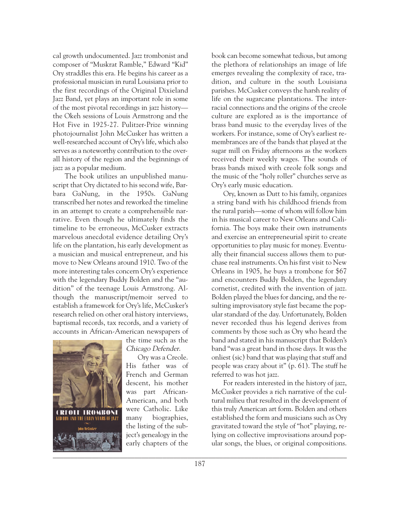cal growth undocumented. Jazz trombonist and composer of "Muskrat Ramble," Edward "Kid" Ory straddles this era. He begins his career as a professional musician in rural Louisiana prior to the first recordings of the Original Dixieland Jazz Band, yet plays an important role in some of the most pivotal recordings in jazz history the Okeh sessions of Louis Armstrong and the Hot Five in 1925-27. Pulitzer-Prize winning photojournalist John McCusker has written a well-researched account of Ory's life, which also serves as a noteworthy contribution to the overall history of the region and the beginnings of jazz as a popular medium.

The book utilizes an unpublished manuscript that Ory dictated to his second wife, Barbara GaNung, in the 1950s. GaNung transcribed her notes and reworked the timeline in an attempt to create a comprehensible narrative. Even though he ultimately finds the timeline to be erroneous, McCusker extracts marvelous anecdotal evidence detailing Ory's life on the plantation, his early development as a musician and musical entrepreneur, and his move to New Orleans around 1910. Two of the more interesting tales concern Ory's experience with the legendary Buddy Bolden and the "audition" of the teenage Louis Armstrong. Although the manuscript/memoir served to establish a framework for Ory's life, McCusker's research relied on other oral history interviews, baptismal records, tax records, and a variety of accounts in African-American newspapers of



the time such as the Chicago Defender.

Ory was a Creole. His father was of French and German descent, his mother was part African-American, and both were Catholic. Like many biographies, the listing of the subject's genealogy in the early chapters of the

book can become somewhat tedious, but among the plethora of relationships an image of life emerges revealing the complexity of race, tradition, and culture in the south Louisiana parishes. McCusker conveys the harsh reality of life on the sugarcane plantations. The interracial connections and the origins of the creole culture are explored as is the importance of brass band music to the everyday lives of the workers. For instance, some of Ory's earliest remembrances are of the bands that played at the sugar mill on Friday afternoons as the workers received their weekly wages. The sounds of brass bands mixed with creole folk songs and the music of the "holy roller" churches serve as Ory's early music education.

Ory, known as Dutt to his family, organizes a string band with his childhood friends from the rural parish—some of whom will follow him in his musical career to New Orleans and California. The boys make their own instruments and exercise an entrepreneurial spirit to create opportunities to play music for money. Eventually their financial success allows them to purchase real instruments. On his first visit to New Orleans in 1905, he buys a trombone for \$67 and encounters Buddy Bolden, the legendary cornetist, credited with the invention of jazz. Bolden played the blues for dancing, and the resulting improvisatory style fast became the popular standard of the day. Unfortunately, Bolden never recorded thus his legend derives from comments by those such as Ory who heard the band and stated in his manuscript that Bolden's band "was a great band in those days. It was the onliest (sic) band that was playing that stuff and people was crazy about it" (p. 61). The stuff he referred to was hot jazz.

For readers interested in the history of jazz, McCusker provides a rich narrative of the cultural milieu that resulted in the development of this truly American art form. Bolden and others established the form and musicians such as Ory gravitated toward the style of "hot" playing, relying on collective improvisations around popular songs, the blues, or original compositions.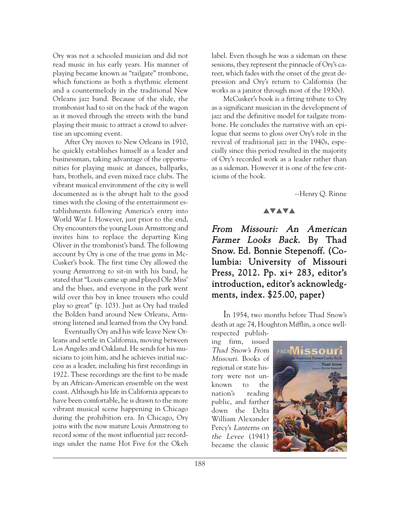Ory was not a schooled musician and did not read music in his early years. His manner of playing became known as "tailgate" trombone, which functions as both a rhythmic element and a countermelody in the traditional New Orleans jazz band. Because of the slide, the trombonist had to sit on the back of the wagon as it moved through the streets with the band playing their music to attract a crowd to advertise an upcoming event.

After Ory moves to New Orleans in 1910, he quickly establishes himself as a leader and businessman, taking advantage of the opportunities for playing music at dances, ballparks, bars, brothels, and even mixed race clubs. The vibrant musical environment of the city is well documented as is the abrupt halt to the good times with the closing of the entertainment establishments following America's entry into World War I. However, just prior to the end, Ory encounters the young Louis Armstrong and invites him to replace the departing King Oliver in the trombonist's band. The following account by Ory is one of the true gems in Mc-Cusker's book. The first time Ory allowed the young Armstrong to sit-in with his band, he stated that "Louis came up and played Ole Miss' and the blues, and everyone in the park went wild over this boy in knee trousers who could play so great" (p. 103). Just as Ory had trailed the Bolden band around New Orleans, Armstrong listened and learned from the Ory band.

Eventually Ory and his wife leave New Orleans and settle in California, moving between Los Angeles and Oakland. He sends for his musicians to join him, and he achieves initial success as a leader, including his first recordings in 1922. These recordings are the first to be made by an African-American ensemble on the west coast. Although his life in California appears to have been comfortable, he is drawn to the more vibrant musical scene happening in Chicago during the prohibition era. In Chicago, Ory joins with the now mature Louis Armstrong to record some of the most influential jazz recordings under the name Hot Five for the Okeh label. Even though he was a sideman on these sessions, they represent the pinnacle of Ory's career, which fades with the onset of the great depression and Ory's return to California (he works as a janitor through most of the 1930s).

McCusker's book is a fitting tribute to Ory as a significant musician in the development of jazz and the definitive model for tailgate trombone. He concludes the narrative with an epilogue that seems to gloss over Ory's role in the revival of traditional jazz in the 1940s, especially since this period resulted in the majority of Ory's recorded work as a leader rather than as a sideman. However it is one of the few criticisms of the book.

--Henry Q. Rinne

#### **AVAVA**

From Missouri: An American Farmer Looks Back. By Thad Snow. Ed. Bonnie Stepenoff. (Columbia: University of Missouri Press, 2012. Pp. xi+ 283, editor's introduction, editor's acknowledgments, index. \$25.00, paper)

In 1954, two months before Thad Snow's death at age 74, Houghton Mifflin, a once wellrespected publish-

ing firm, issued Thad Snow's From Missouri. Books of regional or state history were not unknown to the nation's reading public, and farther down the Delta William Alexander Percy's Lanterns on the Levee (1941) became the classic

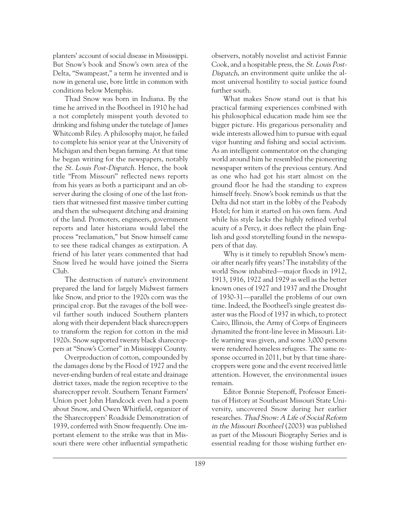planters' account of social disease in Mississippi. But Snow's book and Snow's own area of the Delta, "Swampeast," a term he invented and is now in general use, bore little in common with conditions below Memphis.

Thad Snow was born in Indiana. By the time he arrived in the Bootheel in 1910 he had a not completely misspent youth devoted to drinking and fishing under the tutelage of James Whitcomb Riley. A philosophy major, he failed to complete his senior year at the University of Michigan and then began farming. At that time he began writing for the newspapers, notably the St. Louis Post-Dispatch. Hence, the book title "From Missouri" reflected news reports from his years as both a participant and an observer during the closing of one of the last frontiers that witnessed first massive timber cutting and then the subsequent ditching and draining of the land. Promoters, engineers, government reports and later historians would label the process "reclamation," but Snow himself came to see these radical changes as extirpation. A friend of his later years commented that had Snow lived he would have joined the Sierra Club.

The destruction of nature's environment prepared the land for largely Midwest farmers like Snow, and prior to the 1920s corn was the principal crop. But the ravages of the boll weevil farther south induced Southern planters along with their dependent black sharecroppers to transform the region for cotton in the mid 1920s. Snow supported twenty black sharecroppers at "Snow's Corner" in Mississippi County.

Overproduction of cotton, compounded by the damages done by the Flood of 1927 and the never-ending burden of real estate and drainage district taxes, made the region receptive to the sharecropper revolt. Southern Tenant Farmers' Union poet John Handcock even had a poem about Snow, and Owen Whitfield, organizer of the Sharecroppers' Roadside Demonstration of 1939, conferred with Snow frequently. One important element to the strike was that in Missouri there were other influential sympathetic

observers, notably novelist and activist Fannie Cook, and a hospitable press, the St. Louis Post-Dispatch, an environment quite unlike the almost universal hostility to social justice found further south.

What makes Snow stand out is that his practical farming experiences combined with his philosophical education made him see the bigger picture. His gregarious personality and wide interests allowed him to pursue with equal vigor hunting and fishing and social activism. As an intelligent commentator on the changing world around him he resembled the pioneering newspaper writers of the previous century. And as one who had got his start almost on the ground floor he had the standing to express himself freely. Snow's book reminds us that the Delta did not start in the lobby of the Peabody Hotel; for him it started on his own farm. And while his style lacks the highly refined verbal acuity of a Percy, it does reflect the plain English and good storytelling found in the newspapers of that day.

Why is it timely to republish Snow's memoir after nearly fifty years? The instability of the world Snow inhabited—major floods in 1912, 1913, 1916, 1922 and 1929 as well as the better known ones of 1927 and 1937 and the Drought of 1930-31—parallel the problems of our own time. Indeed, the Bootheel's single greatest disaster was the Flood of 1937 in which, to protect Cairo, Illinois, the Army of Corps of Engineers dynamited the front-line levee in Missouri. Little warning was given, and some 3,000 persons were rendered homeless refugees. The same response occurred in 2011, but by that time sharecroppers were gone and the event received little attention. However, the environmental issues remain.

Editor Bonnie Stepenoff, Professor Emeritus of History at Southeast Missouri State University, uncovered Snow during her earlier researches. Thad Snow: A Life of Social Reform in the Missouri Bootheel (2003) was published as part of the Missouri Biography Series and is essential reading for those wishing further en-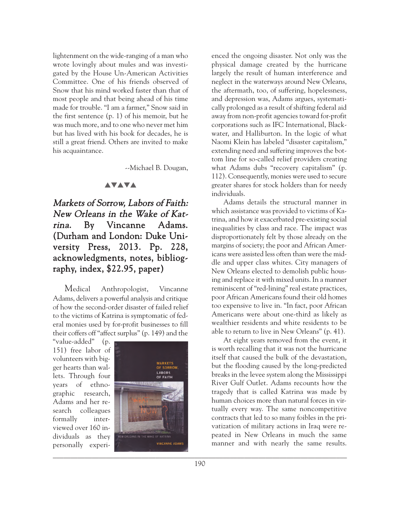lightenment on the wide-ranging of a man who wrote lovingly about mules and was investigated by the House Un-American Activities Committee. One of his friends observed of Snow that his mind worked faster than that of most people and that being ahead of his time made for trouble. "I am a farmer," Snow said in the first sentence (p. 1) of his memoir, but he was much more, and to one who never met him but has lived with his book for decades, he is still a great friend. Others are invited to make his acquaintance.

--Michael B. Dougan,

#### **AVAVA**

Markets of Sorrow, Labors of Faith: New Orleans in the Wake of Katrina. By Vincanne Adams. (Durham and London: Duke University Press, 2013. Pp. 228, acknowledgments, notes, bibliography, index, \$22.95, paper)

Medical Anthropologist, Vincanne Adams, delivers a powerful analysis and critique of how the second-order disaster of failed relief to the victims of Katrina is symptomatic of federal monies used by for-profit businesses to fill their coffers off "affect surplus" (p. 149) and the

"value-added" (p. 151) free labor of volunteers with bigger hearts than wallets. Through four years of ethnographic research, Adams and her research colleagues formally interviewed over 160 individuals as they personally experi-



enced the ongoing disaster. Not only was the physical damage created by the hurricane largely the result of human interference and neglect in the waterways around New Orleans, the aftermath, too, of suffering, hopelessness, and depression was, Adams argues, systematically prolonged as a result of shifting federal aid away from non-profit agencies toward for-profit corporations such as IFC International, Blackwater, and Halliburton. In the logic of what Naomi Klein has labeled "disaster capitalism," extending need and suffering improves the bottom line for so-called relief providers creating what Adams dubs "recovery capitalism" (p. 112). Consequently, monies were used to secure greater shares for stock holders than for needy individuals.

Adams details the structural manner in which assistance was provided to victims of Katrina, and how it exacerbated pre-existing social inequalities by class and race. The impact was disproportionately felt by those already on the margins of society; the poor and African Americans were assisted less often than were the middle and upper class whites. City managers of New Orleans elected to demolish public housing and replace it with mixed units. In a manner reminiscent of "red-lining" real estate practices, poor African Americans found their old homes too expensive to live in. "In fact, poor African Americans were about one-third as likely as wealthier residents and white residents to be able to return to live in New Orleans" (p. 41).

At eight years removed from the event, it is worth recalling that it was not the hurricane itself that caused the bulk of the devastation, but the flooding caused by the long-predicted breaks in the levee system along the Mississippi River Gulf Outlet. Adams recounts how the tragedy that is called Katrina was made by human choices more than natural forces in virtually every way. The same noncompetitive contracts that led to so many foibles in the privatization of military actions in Iraq were repeated in New Orleans in much the same manner and with nearly the same results.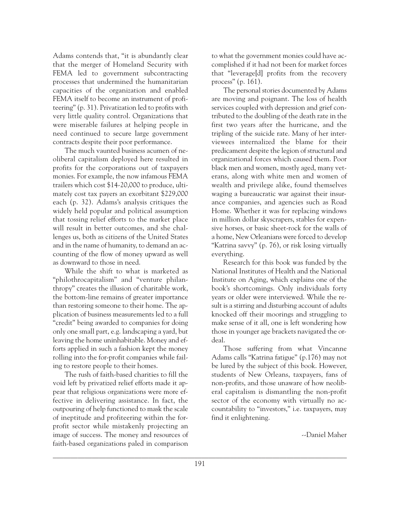Adams contends that, "it is abundantly clear that the merger of Homeland Security with FEMA led to government subcontracting processes that undermined the humanitarian capacities of the organization and enabled FEMA itself to become an instrument of profiteering" (p. 31). Privatization led to profits with very little quality control. Organizations that were miserable failures at helping people in need continued to secure large government contracts despite their poor performance.

The much vaunted business acumen of neoliberal capitalism deployed here resulted in profits for the corporations out of taxpayers monies. For example, the now infamous FEMA trailers which cost \$14-20,000 to produce, ultimately cost tax payers an exorbitant \$229,000 each (p. 32). Adams's analysis critiques the widely held popular and political assumption that tossing relief efforts to the market place will result in better outcomes, and she challenges us, both as citizens of the United States and in the name of humanity, to demand an accounting of the flow of money upward as well as downward to those in need.

While the shift to what is marketed as "philothrocapitalism" and "venture philanthropy" creates the illusion of charitable work, the bottom-line remains of greater importance than restoring someone to their home. The application of business measurements led to a full "credit" being awarded to companies for doing only one small part, e.g. landscaping a yard, but leaving the home uninhabitable. Money and efforts applied in such a fashion kept the money rolling into the for-profit companies while failing to restore people to their homes.

The rush of faith-based charities to fill the void left by privatized relief efforts made it appear that religious organizations were more effective in delivering assistance. In fact, the outpouring of help functioned to mask the scale of ineptitude and profiteering within the forprofit sector while mistakenly projecting an image of success. The money and resources of faith-based organizations paled in comparison

to what the government monies could have accomplished if it had not been for market forces that "leverage[d] profits from the recovery process" (p. 161).

The personal stories documented by Adams are moving and poignant. The loss of health services coupled with depression and grief contributed to the doubling of the death rate in the first two years after the hurricane, and the tripling of the suicide rate. Many of her interviewees internalized the blame for their predicament despite the legion of structural and organizational forces which caused them. Poor black men and women, mostly aged, many veterans, along with white men and women of wealth and privilege alike, found themselves waging a bureaucratic war against their insurance companies, and agencies such as Road Home. Whether it was for replacing windows in million dollar skyscrapers, stables for expensive horses, or basic sheet-rock for the walls of a home, New Orleanians were forced to develop "Katrina savvy" (p. 76), or risk losing virtually everything.

Research for this book was funded by the National Institutes of Health and the National Institute on Aging, which explains one of the book's shortcomings. Only individuals forty years or older were interviewed. While the result is a stirring and disturbing account of adults knocked off their moorings and struggling to make sense of it all, one is left wondering how those in younger age brackets navigated the ordeal.

Those suffering from what Vincanne Adams calls "Katrina fatigue" (p.176) may not be lured by the subject of this book. However, students of New Orleans, taxpayers, fans of non-profits, and those unaware of how neoliberal capitalism is dismantling the non-profit sector of the economy with virtually no accountability to "investors," i.e. taxpayers, may find it enlightening.

--Daniel Maher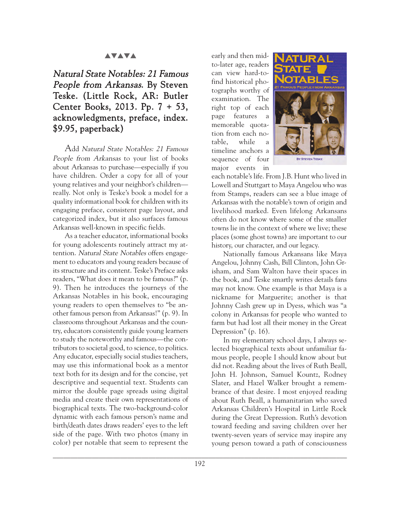#### **AVAVA**

## Natural State Notables: 21 Famous People from Arkansas. By Steven Teske. (Little Rock, AR: Butler Center Books, 2013. Pp. 7 + 53, acknowledgments, preface, index. \$9.95, paperback)

Add Natural State Notables: 21 Famous People from Arkansas to your list of books about Arkansas to purchase—especially if you have children. Order a copy for all of your young relatives and your neighbor's children really. Not only is Teske's book a model for a quality informational book for children with its engaging preface, consistent page layout, and categorized index, but it also surfaces famous Arkansas well-known in specific fields.

As a teacher educator, informational books for young adolescents routinely attract my attention. Natural State Notables offers engagement to educators and young readers because of its structure and its content. Teske's Preface asks readers, "What does it mean to be famous?" (p. 9). Then he introduces the journeys of the Arkansas Notables in his book, encouraging young readers to open themselves to "be another famous person from Arkansas!" (p. 9). In classrooms throughout Arkansas and the country, educators consistently guide young learners to study the noteworthy and famous—the contributors to societal good, to science, to politics. Any educator, especially social studies teachers, may use this informational book as a mentor text both for its design and for the concise, yet descriptive and sequential text. Students can mirror the double page spreads using digital media and create their own representations of biographical texts. The two-background-color dynamic with each famous person's name and birth/death dates draws readers' eyes to the left side of the page. With two photos (many in color) per notable that seem to represent the

early and then midto-later age, readers can view hard-tofind historical photographs worthy of examination. The right top of each page features a memorable quotation from each notable, while a timeline anchors a sequence of four major events in



each notable's life. From J.B. Hunt who lived in Lowell and Stuttgart to Maya Angelou who was from Stamps, readers can see a blue image of Arkansas with the notable's town of origin and livelihood marked. Even lifelong Arkansans often do not know where some of the smaller towns lie in the context of where we live; these places (some ghost towns) are important to our history, our character, and our legacy.

Nationally famous Arkansans like Maya Angelou, Johnny Cash, Bill Clinton, John Grisham, and Sam Walton have their spaces in the book, and Teske smartly writes details fans may not know. One example is that Maya is a nickname for Marguerite; another is that Johnny Cash grew up in Dyess, which was "a colony in Arkansas for people who wanted to farm but had lost all their money in the Great Depression" (p. 16).

In my elementary school days, I always selected biographical texts about unfamiliar famous people, people I should know about but did not. Reading about the lives of Ruth Beall, John H. Johnson, Samuel Kountz, Rodney Slater, and Hazel Walker brought a remembrance of that desire. I most enjoyed reading about Ruth Beall, a humanitarian who saved Arkansas Children's Hospital in Little Rock during the Great Depression. Ruth's devotion toward feeding and saving children over her twenty-seven years of service may inspire any young person toward a path of consciousness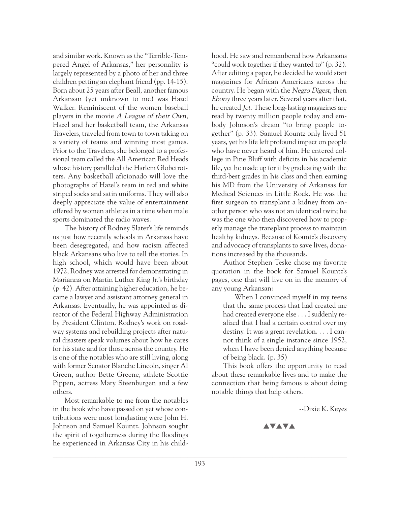and similar work. Known as the "Terrible-Tempered Angel of Arkansas," her personality is largely represented by a photo of her and three children petting an elephant friend (pp. 14-15). Born about 25 years after Beall, another famous Arkansan (yet unknown to me) was Hazel Walker. Reminiscent of the women baseball players in the movie A League of their Own, Hazel and her basketball team, the Arkansas Travelers, traveled from town to town taking on a variety of teams and winning most games. Prior to the Travelers, she belonged to a professional team called the All American Red Heads whose history paralleled the Harlem Globetrotters. Any basketball aficionado will love the photographs of Hazel's team in red and white striped socks and satin uniforms. They will also deeply appreciate the value of entertainment offered by women athletes in a time when male sports dominated the radio waves.

The history of Rodney Slater's life reminds us just how recently schools in Arkansas have been desegregated, and how racism affected black Arkansans who live to tell the stories. In high school, which would have been about 1972, Rodney was arrested for demonstrating in Marianna on Martin Luther King Jr.'s birthday (p. 42). After attaining higher education, he became a lawyer and assistant attorney general in Arkansas. Eventually, he was appointed as director of the Federal Highway Administration by President Clinton. Rodney's work on roadway systems and rebuilding projects after natural disasters speak volumes about how he cares for his state and for those across the country. He is one of the notables who are still living, along with former Senator Blanche Lincoln, singer Al Green, author Bette Greene, athlete Scottie Pippen, actress Mary Steenburgen and a few others.

Most remarkable to me from the notables in the book who have passed on yet whose contributions were most longlasting were John H. Johnson and Samuel Kountz. Johnson sought the spirit of togetherness during the floodings he experienced in Arkansas City in his child-

hood. He saw and remembered how Arkansans "could work together if they wanted to" (p. 32). After editing a paper, he decided he would start magazines for African Americans across the country. He began with the Negro Digest, then Ebony three years later. Several years after that, he created Jet. These long-lasting magazines are read by twenty million people today and embody Johnson's dream "to bring people together" (p. 33). Samuel Kountz only lived 51 years, yet his life left profound impact on people who have never heard of him. He entered college in Pine Bluff with deficits in his academic life, yet he made up for it by graduating with the third-best grades in his class and then earning his MD from the University of Arkansas for Medical Sciences in Little Rock. He was the first surgeon to transplant a kidney from another person who was not an identical twin; he was the one who then discovered how to properly manage the transplant process to maintain healthy kidneys. Because of Kountz's discovery and advocacy of transplants to save lives, donations increased by the thousands.

Author Stephen Teske chose my favorite quotation in the book for Samuel Kountz's pages, one that will live on in the memory of any young Arkansan:

When I convinced myself in my teens that the same process that had created me had created everyone else . . . I suddenly realized that I had a certain control over my destiny. It was a great revelation. . . . I cannot think of a single instance since 1952, when I have been denied anything because of being black. (p. 35)

This book offers the opportunity to read about these remarkable lives and to make the connection that being famous is about doing notable things that help others.

--Dixie K. Keyes

**AVAVA**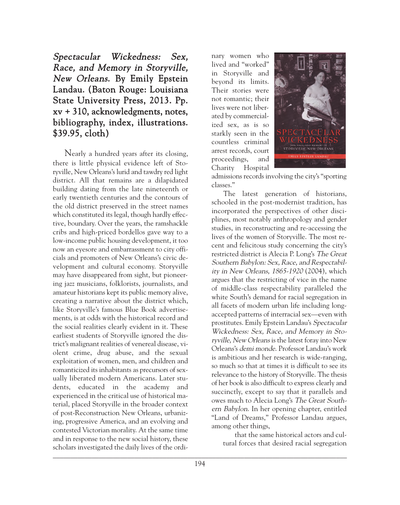# Spectacular Wickedness: Sex, Race, and Memory in Storyville, New Orleans. By Emily Epstein Landau. (Baton Rouge: Louisiana State University Press, 2013. Pp. xv + 310, acknowledgments, notes, bibliography, index, illustrations. \$39.95, cloth)

Nearly a hundred years after its closing, there is little physical evidence left of Storyville, New Orleans's lurid and tawdry red light district. All that remains are a dilapidated building dating from the late nineteenth or early twentieth centuries and the contours of the old district preserved in the street names which constituted its legal, though hardly effective, boundary. Over the years, the ramshackle cribs and high-priced bordellos gave way to a low-income public housing development, it too now an eyesore and embarrassment to city officials and promoters of New Orleans's civic development and cultural economy. Storyville may have disappeared from sight, but pioneering jazz musicians, folklorists, journalists, and amateur historians kept its public memory alive, creating a narrative about the district which, like Storyville's famous Blue Book advertisements, is at odds with the historical record and the social realities clearly evident in it. These earliest students of Storyville ignored the district's malignant realities of venereal disease, violent crime, drug abuse, and the sexual exploitation of women, men, and children and romanticized its inhabitants as precursors of sexually liberated modern Americans. Later students, educated in the academy and experienced in the critical use of historical material, placed Storyville in the broader context of post-Reconstruction New Orleans, urbanizing, progressive America, and an evolving and contested Victorian morality. At the same time and in response to the new social history, these scholars investigated the daily lives of the ordi- $\Box$ 

nary women who lived and "worked" in Storyville and beyond its limits. Their stories were not romantic; their lives were not liberated by commercialized sex, as is so starkly seen in the countless criminal arrest records, court proceedings, and Charity Hospital



admissions records involving the city's "sporting classes."

The latest generation of historians, schooled in the post-modernist tradition, has incorporated the perspectives of other disciplines, most notably anthropology and gender studies, in reconstructing and re-accessing the lives of the women of Storyville. The most recent and felicitous study concerning the city's restricted district is Alecia P. Long's The Great Southern Babylon: Sex, Race, and Respectability in New Orleans, 1865-1920 (2004), which argues that the restricting of vice in the name of middle-class respectability paralleled the white South's demand for racial segregation in all facets of modern urban life including longaccepted patterns of interracial sex—even with prostitutes. Emily Epstein Landau's Spectacular Wickedness: Sex, Race, and Memory in Storyville, New Orleans is the latest foray into New Orleans's demi monde. Professor Landau's work is ambitious and her research is wide-ranging, so much so that at times it is difficult to see its relevance to the history of Storyville. The thesis of her book is also difficult to express clearly and succinctly, except to say that it parallels and owes much to Alecia Long's The Great Southern Babylon. In her opening chapter, entitled "Land of Dreams," Professor Landau argues, among other things,

that the same historical actors and cultural forces that desired racial segregation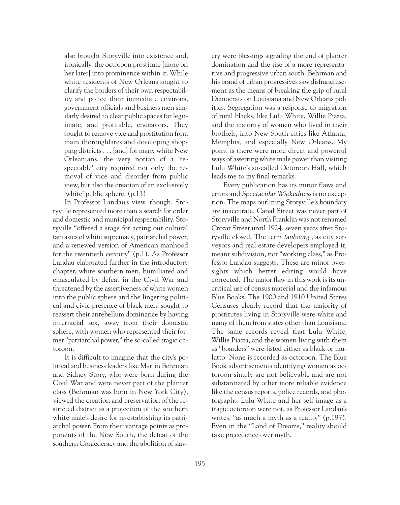also brought Storyville into existence and, ironically, the octoroon prostitute [more on her later] into prominence within it. While white residents of New Orleans sought to clarify the borders of their own respectability and police their immediate environs, government officials and business men similarly desired to clear public spaces for legitimate, and profitable, endeavors. They sought to remove vice and prostitution from main thoroughfares and developing shopping districts . . . [and] for many white New Orleanians, the very notion of a 'respectable' city required not only the removal of vice and disorder from public view, but also the creation of an exclusively 'white' public sphere. (p.13)

In Professor Landau's view, though, Storyville represented more than a search for order and domestic and municipal respectability. Storyville "offered a stage for acting out cultural fantasies of white supremacy, patriarchal power, and a renewed version of American manhood for the twentieth century" (p.1). As Professor Landau elaborated further in the introductory chapter, white southern men, humiliated and emasculated by defeat in the Civil War and threatened by the assertiveness of white women into the public sphere and the lingering political and civic presence of black men, sought to reassert their antebellum dominance by having interracial sex, away from their domestic sphere, with women who represented their former "patriarchal power," the so-called tragic octoroon.

It is difficult to imagine that the city's political and business leaders like Martin Behrman and Sidney Story, who were born during the Civil War and were never part of the planter class (Behrman was born in New York City), viewed the creation and preservation of the restricted district as a projection of the southern white male's desire for re-establishing its patriarchal power. From their vantage points as proponents of the New South, the defeat of the southern Confederacy and the abolition of slavery were blessings signaling the end of planter domination and the rise of a more representative and progressive urban south. Behrman and his brand of urban progressives saw disfranchisement as the means of breaking the grip of rural Democrats on Louisiana and New Orleans politics. Segregation was a response to migration of rural blacks, like Lulu White, Willie Piazza, and the majority of women who lived in their brothels, into New South cities like Atlanta, Memphis, and especially New Orleans. My point is there were more direct and powerful ways of asserting white male power than visiting Lulu White's so-called Octoroon Hall, which leads me to my final remarks.

Every publication has its minor flaws and errors and Spectacular Wickedness is no exception. The maps outlining Storyville's boundary are inaccurate. Canal Street was never part of Storyville and North Franklin was not renamed Crozat Street until 1924, seven years after Storyville closed. The term *faubourg*, as city surveyors and real estate developers employed it, meant subdivision, not "working class," as Professor Landau suggests. These are minor oversights which better editing would have corrected. The major flaw in this work is its uncritical use of census material and the infamous Blue Books. The 1900 and 1910 United States Censuses clearly record that the majority of prostitutes living in Storyville were white and many of them from states other than Louisiana. The same records reveal that Lulu White, Willie Piazza, and the women living with them as "boarders" were listed either as black or mulatto. None is recorded as octoroon. The Blue Book advertisements identifying women as octoroon simply are not believable and are not substantiated by other more reliable evidence like the census reports, police records, and photographs. Lulu White and her self-image as a tragic octoroon were not, as Professor Landau's writes, "as much a myth as a reality" (p.197). Even in the "Land of Dreams," reality should take precedence over myth.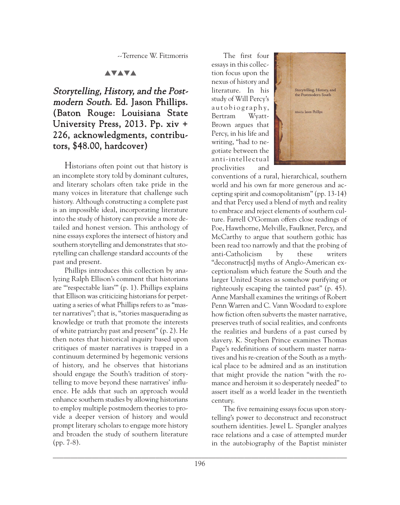--Terrence W. Fitzmorris

### **AVAVA**

# Storytelling, History, and the Postmodern South. Ed. Jason Phillips. (Baton Rouge: Louisiana State University Press, 2013. Pp. xiv + 226, acknowledgments, contributors, \$48.00, hardcover)

Historians often point out that history is an incomplete story told by dominant cultures, and literary scholars often take pride in the many voices in literature that challenge such history. Although constructing a complete past is an impossible ideal, incorporating literature into the study of history can provide a more detailed and honest version. This anthology of nine essays explores the intersect of history and southern storytelling and demonstrates that storytelling can challenge standard accounts of the past and present.

Phillips introduces this collection by analyzing Ralph Ellison's comment that historians are "'respectable liars'" (p. 1). Phillips explains that Ellison was criticizing historians for perpetuating a series of what Phillips refers to as "master narratives"; that is, "stories masquerading as knowledge or truth that promote the interests of white patriarchy past and present" (p. 2). He then notes that historical inquiry based upon critiques of master narratives is trapped in a continuum determined by hegemonic versions of history, and he observes that historians should engage the South's tradition of storytelling to move beyond these narratives' influence. He adds that such an approach would enhance southern studies by allowing historians to employ multiple postmodern theories to provide a deeper version of history and would prompt literary scholars to engage more history and broaden the study of southern literature (pp. 7-8).

The first four essays in this collection focus upon the nexus of history and literature. In his study of Will Percy's au t o b i o g r a p h y, Bertram Wyatt-Brown argues that Percy, in his life and writing, "had to negotiate between the anti-intellectual proclivities and



conventions of a rural, hierarchical, southern world and his own far more generous and accepting spirit and cosmopolitanism" (pp. 13-14) and that Percy used a blend of myth and reality to embrace and reject elements of southern culture. Farrell O'Gorman offers close readings of Poe, Hawthorne, Melville, Faulkner, Percy, and McCarthy to argue that southern gothic has been read too narrowly and that the probing of anti-Catholicism by these writers "deconstruct[s] myths of Anglo-American exceptionalism which feature the South and the larger United States as somehow purifying or righteously escaping the tainted past" (p. 45). Anne Marshall examines the writings of Robert Penn Warren and C. Vann Woodard to explore how fiction often subverts the master narrative, preserves truth of social realities, and confronts the realities and burdens of a past cursed by slavery. K. Stephen Prince examines Thomas Page's redefinitions of southern master narratives and his re-creation of the South as a mythical place to be admired and as an institution that might provide the nation "with the romance and heroism it so desperately needed" to assert itself as a world leader in the twentieth century.

The five remaining essays focus upon storytelling's power to deconstruct and reconstruct southern identities. Jewel L. Spangler analyzes race relations and a case of attempted murder in the autobiography of the Baptist minister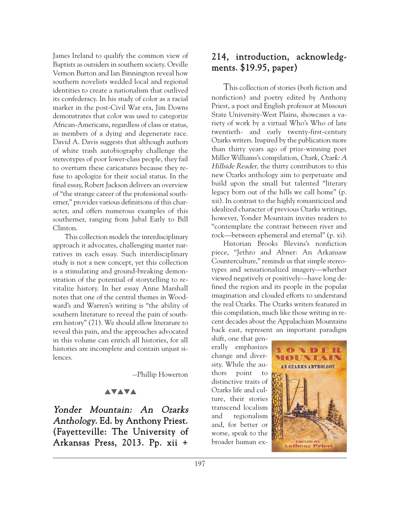James Ireland to qualify the common view of Baptists as outsiders in southern society. Orville Vernon Burton and Ian Binnington reveal how southern novelists wedded local and regional identities to create a nationalism that outlived its confederacy. In his study of color as a racial marker in the post-Civil War era, Jim Downs demonstrates that color was used to categorize African-Americans, regardless of class or status, as members of a dying and degenerate race. David A. Davis suggests that although authors of white trash autobiography challenge the stereotypes of poor lower-class people, they fail to overturn these caricatures because they refuse to apologize for their social status. In the final essay, Robert Jackson delivers an overview of "the strange career of the professional southerner," provides various definitions of this character, and offers numerous examples of this southerner, ranging from Jubal Early to Bill Clinton.

This collection models the interdisciplinary approach it advocates, challenging master narratives in each essay. Such interdisciplinary study is not a new concept, yet this collection is a stimulating and ground-breaking demonstration of the potential of storytelling to revitalize history. In her essay Anne Marshall notes that one of the central themes in Woodward's and Warren's writing is "the ability of southern literature to reveal the pain of southern history" (71). We should allow literature to reveal this pain, and the approaches advocated in this volume can enrich all histories, for all histories are incomplete and contain unjust silences.

--Phillip Howerton

#### **AVAVA**

Yonder Mountain: An Ozarks Anthology. Ed. by Anthony Priest. (Fayetteville: The University of Arkansas Press, 2013. Pp. xii +

## 214, introduction, acknowledgments. \$19.95, paper)

This collection of stories (both fiction and nonfiction) and poetry edited by Anthony Priest, a poet and English professor at Missouri State University-West Plains, showcases a variety of work by a virtual Who's Who of late twentieth- and early twenty-first-century Ozarks writers. Inspired by the publication more than thirty years ago of prize-winning poet Miller Williams's compilation, Ozark, Ozark: A Hillside Reader, the thirty contributors to this new Ozarks anthology aim to perpetuate and build upon the small but talented "literary legacy born out of the hills we call home" (p. xii). In contrast to the highly romanticized and idealized character of previous Ozarks writings, however, Yonder Mountain invites readers to "contemplate the contrast between river and rock—between ephemeral and eternal" (p. xi).

Historian Brooks Blevins's nonfiction piece, "Jethro and Abner: An Arkansaw Counterculture," reminds us that simple stereotypes and sensationalized imagery—whether viewed negatively or positively—have long defined the region and its people in the popular imagination and clouded efforts to understand the real Ozarks. The Ozarks writers featured in this compilation, much like those writing in recent decades about the Appalachian Mountains back east, represent an important paradigm

shift, one that generally emphasizes change and diversity. While the authors point to distinctive traits of Ozarks life and culture, their stories transcend localism and regionalism and, for better or worse, speak to the broader human ex-